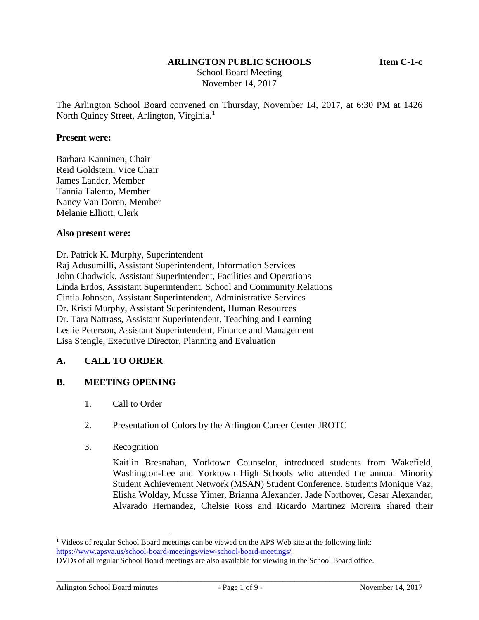#### **ARLINGTON PUBLIC SCHOOLS Item C-1-c**

School Board Meeting November 14, 2017

The Arlington School Board convened on Thursday, November 14, 2017, at 6:30 PM at 1426 North Quincy Street, Arlington, Virginia.<sup>1</sup>

#### **Present were:**

Barbara Kanninen, Chair Reid Goldstein, Vice Chair James Lander, Member Tannia Talento, Member Nancy Van Doren, Member Melanie Elliott, Clerk

#### **Also present were:**

Dr. Patrick K. Murphy, Superintendent Raj Adusumilli, Assistant Superintendent, Information Services John Chadwick, Assistant Superintendent, Facilities and Operations Linda Erdos, Assistant Superintendent, School and Community Relations Cintia Johnson, Assistant Superintendent, Administrative Services Dr. Kristi Murphy, Assistant Superintendent, Human Resources Dr. Tara Nattrass, Assistant Superintendent, Teaching and Learning Leslie Peterson, Assistant Superintendent, Finance and Management Lisa Stengle, Executive Director, Planning and Evaluation

#### **A. CALL TO ORDER**

#### **B. MEETING OPENING**

- 1. Call to Order
- 2. Presentation of Colors by the Arlington Career Center JROTC
- 3. Recognition

Kaitlin Bresnahan, Yorktown Counselor, introduced students from Wakefield, Washington-Lee and Yorktown High Schools who attended the annual Minority Student Achievement Network (MSAN) Student Conference. Students Monique Vaz, Elisha Wolday, Musse Yimer, Brianna Alexander, Jade Northover, Cesar Alexander, Alvarado Hernandez, Chelsie Ross and Ricardo Martinez Moreira shared their

 $\overline{a}$ 

<sup>&</sup>lt;sup>1</sup> Videos of regular School Board meetings can be viewed on the APS Web site at the following link: <https://www.apsva.us/school-board-meetings/view-school-board-meetings/>

DVDs of all regular School Board meetings are also available for viewing in the School Board office.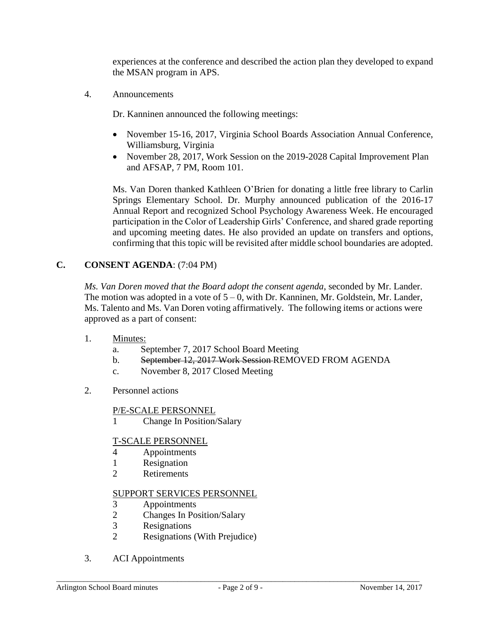experiences at the conference and described the action plan they developed to expand the MSAN program in APS.

4. Announcements

Dr. Kanninen announced the following meetings:

- November 15-16, 2017, Virginia School Boards Association Annual Conference, Williamsburg, Virginia
- November 28, 2017, Work Session on the 2019-2028 Capital Improvement Plan and AFSAP, 7 PM, Room 101.

Ms. Van Doren thanked Kathleen O'Brien for donating a little free library to Carlin Springs Elementary School. Dr. Murphy announced publication of the 2016-17 Annual Report and recognized School Psychology Awareness Week. He encouraged participation in the Color of Leadership Girls' Conference, and shared grade reporting and upcoming meeting dates. He also provided an update on transfers and options, confirming that this topic will be revisited after middle school boundaries are adopted.

# **C. CONSENT AGENDA**: (7:04 PM)

*Ms. Van Doren moved that the Board adopt the consent agenda*, seconded by Mr. Lander. The motion was adopted in a vote of  $5 - 0$ , with Dr. Kanninen, Mr. Goldstein, Mr. Lander, Ms. Talento and Ms. Van Doren voting affirmatively. The following items or actions were approved as a part of consent:

- 1. Minutes:
	- a. September 7, 2017 School Board Meeting
	- b. September 12, 2017 Work Session REMOVED FROM AGENDA
	- c. November 8, 2017 Closed Meeting
- 2. Personnel actions

### P/E-SCALE PERSONNEL

1 Change In Position/Salary

### T-SCALE PERSONNEL

- 4 Appointments
- 1 Resignation
- 2 Retirements

### SUPPORT SERVICES PERSONNEL

- 3 Appointments
- 2 Changes In Position/Salary
- 3 Resignations
- 2 Resignations (With Prejudice)
- 3. ACI Appointments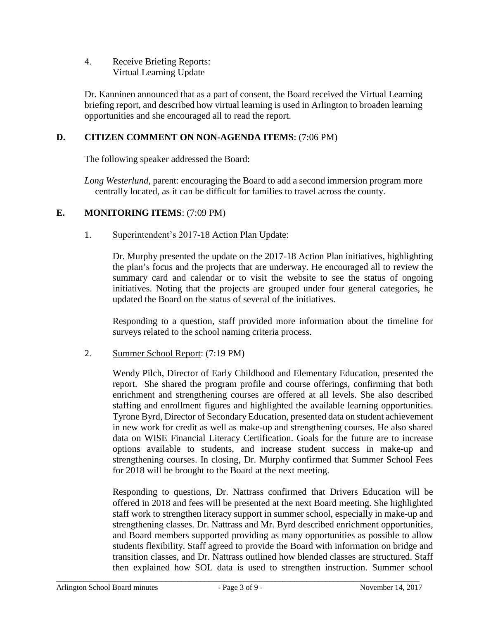## 4. Receive Briefing Reports: Virtual Learning Update

Dr. Kanninen announced that as a part of consent, the Board received the Virtual Learning briefing report, and described how virtual learning is used in Arlington to broaden learning opportunities and she encouraged all to read the report.

## **D. CITIZEN COMMENT ON NON-AGENDA ITEMS**: (7:06 PM)

The following speaker addressed the Board:

*Long Westerlund,* parent: encouraging the Board to add a second immersion program more centrally located, as it can be difficult for families to travel across the county.

### **E. MONITORING ITEMS**: (7:09 PM)

### 1. Superintendent's 2017-18 Action Plan Update:

Dr. Murphy presented the update on the 2017-18 Action Plan initiatives, highlighting the plan's focus and the projects that are underway. He encouraged all to review the summary card and calendar or to visit the website to see the status of ongoing initiatives. Noting that the projects are grouped under four general categories, he updated the Board on the status of several of the initiatives.

Responding to a question, staff provided more information about the timeline for surveys related to the school naming criteria process.

#### 2. Summer School Report: (7:19 PM)

Wendy Pilch, Director of Early Childhood and Elementary Education, presented the report. She shared the program profile and course offerings, confirming that both enrichment and strengthening courses are offered at all levels. She also described staffing and enrollment figures and highlighted the available learning opportunities. Tyrone Byrd, Director of Secondary Education, presented data on student achievement in new work for credit as well as make-up and strengthening courses. He also shared data on WISE Financial Literacy Certification. Goals for the future are to increase options available to students, and increase student success in make-up and strengthening courses. In closing, Dr. Murphy confirmed that Summer School Fees for 2018 will be brought to the Board at the next meeting.

Responding to questions, Dr. Nattrass confirmed that Drivers Education will be offered in 2018 and fees will be presented at the next Board meeting. She highlighted staff work to strengthen literacy support in summer school, especially in make-up and strengthening classes. Dr. Nattrass and Mr. Byrd described enrichment opportunities, and Board members supported providing as many opportunities as possible to allow students flexibility. Staff agreed to provide the Board with information on bridge and transition classes, and Dr. Nattrass outlined how blended classes are structured. Staff then explained how SOL data is used to strengthen instruction. Summer school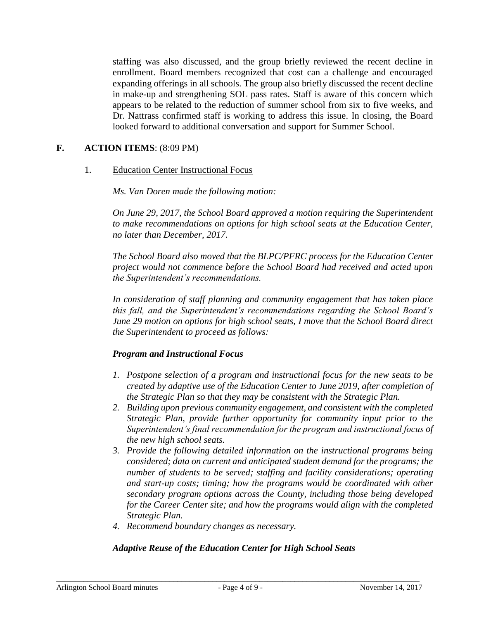staffing was also discussed, and the group briefly reviewed the recent decline in enrollment. Board members recognized that cost can a challenge and encouraged expanding offerings in all schools. The group also briefly discussed the recent decline in make-up and strengthening SOL pass rates. Staff is aware of this concern which appears to be related to the reduction of summer school from six to five weeks, and Dr. Nattrass confirmed staff is working to address this issue. In closing, the Board looked forward to additional conversation and support for Summer School.

### **F. ACTION ITEMS**: (8:09 PM)

#### 1. Education Center Instructional Focus

#### *Ms. Van Doren made the following motion:*

*On June 29, 2017, the School Board approved a motion requiring the Superintendent to make recommendations on options for high school seats at the Education Center, no later than December, 2017.*

*The School Board also moved that the BLPC/PFRC process for the Education Center project would not commence before the School Board had received and acted upon the Superintendent's recommendations.*

*In consideration of staff planning and community engagement that has taken place this fall, and the Superintendent's recommendations regarding the School Board's June 29 motion on options for high school seats, I move that the School Board direct the Superintendent to proceed as follows:*

#### *Program and Instructional Focus*

- *1. Postpone selection of a program and instructional focus for the new seats to be created by adaptive use of the Education Center to June 2019, after completion of the Strategic Plan so that they may be consistent with the Strategic Plan.*
- *2. Building upon previous community engagement, and consistent with the completed Strategic Plan, provide further opportunity for community input prior to the Superintendent's final recommendation for the program and instructional focus of the new high school seats.*
- *3. Provide the following detailed information on the instructional programs being considered; data on current and anticipated student demand for the programs; the number of students to be served; staffing and facility considerations; operating and start-up costs; timing; how the programs would be coordinated with other secondary program options across the County, including those being developed for the Career Center site; and how the programs would align with the completed Strategic Plan.*
- *4. Recommend boundary changes as necessary.*

### *Adaptive Reuse of the Education Center for High School Seats*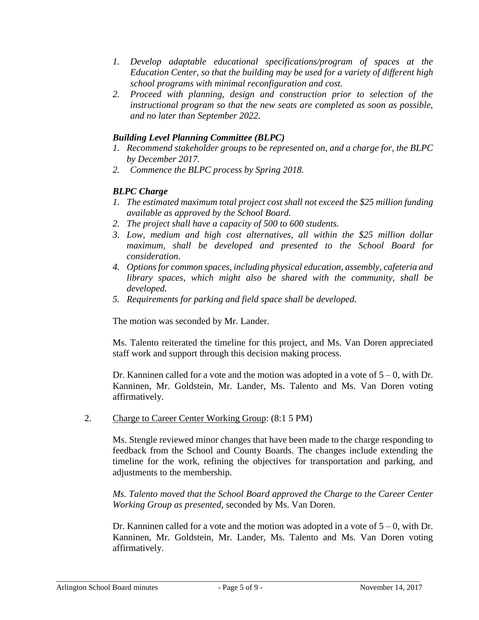- *1. Develop adaptable educational specifications/program of spaces at the Education Center, so that the building may be used for a variety of different high school programs with minimal reconfiguration and cost.*
- *2. Proceed with planning, design and construction prior to selection of the instructional program so that the new seats are completed as soon as possible, and no later than September 2022.*

### *Building Level Planning Committee (BLPC)*

- *1. Recommend stakeholder groups to be represented on, and a charge for, the BLPC by December 2017.*
- *2. Commence the BLPC process by Spring 2018.*

### *BLPC Charge*

- *1. The estimated maximum total project cost shall not exceed the \$25 million funding available as approved by the School Board.*
- *2. The project shall have a capacity of 500 to 600 students.*
- *3. Low, medium and high cost alternatives, all within the \$25 million dollar maximum, shall be developed and presented to the School Board for consideration.*
- *4. Options for common spaces, including physical education, assembly, cafeteria and library spaces, which might also be shared with the community, shall be developed.*
- *5. Requirements for parking and field space shall be developed.*

The motion was seconded by Mr. Lander.

Ms. Talento reiterated the timeline for this project, and Ms. Van Doren appreciated staff work and support through this decision making process.

Dr. Kanninen called for a vote and the motion was adopted in a vote of  $5 - 0$ , with Dr. Kanninen, Mr. Goldstein, Mr. Lander, Ms. Talento and Ms. Van Doren voting affirmatively.

2. Charge to Career Center Working Group: (8:1 5 PM)

Ms. Stengle reviewed minor changes that have been made to the charge responding to feedback from the School and County Boards. The changes include extending the timeline for the work, refining the objectives for transportation and parking, and adjustments to the membership.

*Ms. Talento moved that the School Board approved the Charge to the Career Center Working Group as presented,* seconded by Ms. Van Doren.

Dr. Kanninen called for a vote and the motion was adopted in a vote of  $5 - 0$ , with Dr. Kanninen, Mr. Goldstein, Mr. Lander, Ms. Talento and Ms. Van Doren voting affirmatively.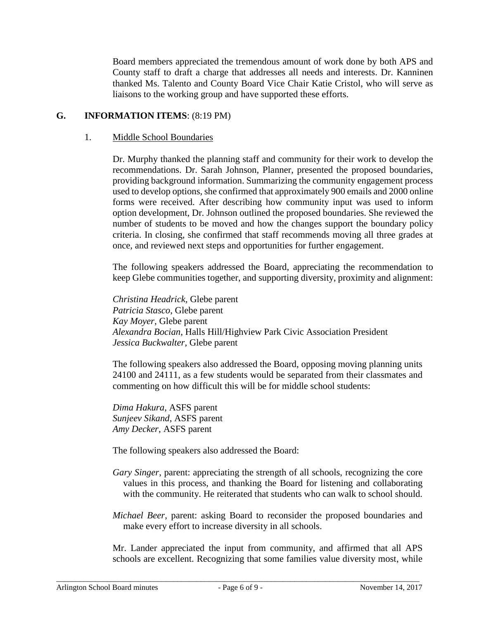Board members appreciated the tremendous amount of work done by both APS and County staff to draft a charge that addresses all needs and interests. Dr. Kanninen thanked Ms. Talento and County Board Vice Chair Katie Cristol, who will serve as liaisons to the working group and have supported these efforts.

### **G. INFORMATION ITEMS**: (8:19 PM)

#### 1. Middle School Boundaries

Dr. Murphy thanked the planning staff and community for their work to develop the recommendations. Dr. Sarah Johnson, Planner, presented the proposed boundaries, providing background information. Summarizing the community engagement process used to develop options, she confirmed that approximately 900 emails and 2000 online forms were received. After describing how community input was used to inform option development, Dr. Johnson outlined the proposed boundaries. She reviewed the number of students to be moved and how the changes support the boundary policy criteria. In closing, she confirmed that staff recommends moving all three grades at once, and reviewed next steps and opportunities for further engagement.

The following speakers addressed the Board, appreciating the recommendation to keep Glebe communities together, and supporting diversity, proximity and alignment:

*Christina Headrick,* Glebe parent *Patricia Stasco*, Glebe parent *Kay Moyer*, Glebe parent *Alexandra Bocian*, Halls Hill/Highview Park Civic Association President *Jessica Buckwalter*, Glebe parent

The following speakers also addressed the Board, opposing moving planning units 24100 and 24111, as a few students would be separated from their classmates and commenting on how difficult this will be for middle school students:

*Dima Hakura*, ASFS parent *Sunjeev Sikand*, ASFS parent *Amy Decker*, ASFS parent

The following speakers also addressed the Board:

- *Gary Singer*, parent: appreciating the strength of all schools, recognizing the core values in this process, and thanking the Board for listening and collaborating with the community. He reiterated that students who can walk to school should.
- *Michael Beer*, parent: asking Board to reconsider the proposed boundaries and make every effort to increase diversity in all schools.

Mr. Lander appreciated the input from community, and affirmed that all APS schools are excellent. Recognizing that some families value diversity most, while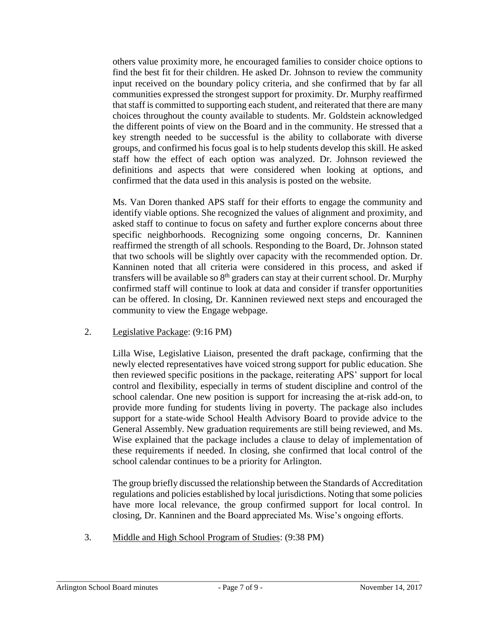others value proximity more, he encouraged families to consider choice options to find the best fit for their children. He asked Dr. Johnson to review the community input received on the boundary policy criteria, and she confirmed that by far all communities expressed the strongest support for proximity. Dr. Murphy reaffirmed that staff is committed to supporting each student, and reiterated that there are many choices throughout the county available to students. Mr. Goldstein acknowledged the different points of view on the Board and in the community. He stressed that a key strength needed to be successful is the ability to collaborate with diverse groups, and confirmed his focus goal is to help students develop this skill. He asked staff how the effect of each option was analyzed. Dr. Johnson reviewed the definitions and aspects that were considered when looking at options, and confirmed that the data used in this analysis is posted on the website.

Ms. Van Doren thanked APS staff for their efforts to engage the community and identify viable options. She recognized the values of alignment and proximity, and asked staff to continue to focus on safety and further explore concerns about three specific neighborhoods. Recognizing some ongoing concerns, Dr. Kanninen reaffirmed the strength of all schools. Responding to the Board, Dr. Johnson stated that two schools will be slightly over capacity with the recommended option. Dr. Kanninen noted that all criteria were considered in this process, and asked if transfers will be available so 8<sup>th</sup> graders can stay at their current school. Dr. Murphy confirmed staff will continue to look at data and consider if transfer opportunities can be offered. In closing, Dr. Kanninen reviewed next steps and encouraged the community to view the Engage webpage.

### 2. Legislative Package: (9:16 PM)

Lilla Wise, Legislative Liaison, presented the draft package, confirming that the newly elected representatives have voiced strong support for public education. She then reviewed specific positions in the package, reiterating APS' support for local control and flexibility, especially in terms of student discipline and control of the school calendar. One new position is support for increasing the at-risk add-on, to provide more funding for students living in poverty. The package also includes support for a state-wide School Health Advisory Board to provide advice to the General Assembly. New graduation requirements are still being reviewed, and Ms. Wise explained that the package includes a clause to delay of implementation of these requirements if needed. In closing, she confirmed that local control of the school calendar continues to be a priority for Arlington.

The group briefly discussed the relationship between the Standards of Accreditation regulations and policies established by local jurisdictions. Noting that some policies have more local relevance, the group confirmed support for local control. In closing, Dr. Kanninen and the Board appreciated Ms. Wise's ongoing efforts.

3. Middle and High School Program of Studies: (9:38 PM)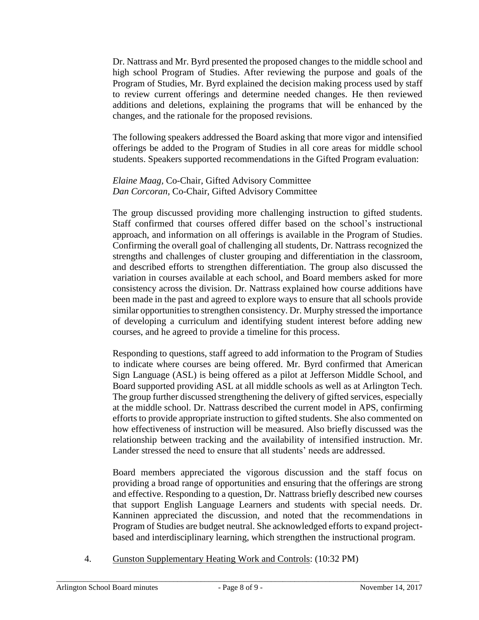Dr. Nattrass and Mr. Byrd presented the proposed changes to the middle school and high school Program of Studies. After reviewing the purpose and goals of the Program of Studies, Mr. Byrd explained the decision making process used by staff to review current offerings and determine needed changes. He then reviewed additions and deletions, explaining the programs that will be enhanced by the changes, and the rationale for the proposed revisions.

The following speakers addressed the Board asking that more vigor and intensified offerings be added to the Program of Studies in all core areas for middle school students. Speakers supported recommendations in the Gifted Program evaluation:

### *Elaine Maag,* Co-Chair, Gifted Advisory Committee *Dan Corcoran,* Co-Chair, Gifted Advisory Committee

The group discussed providing more challenging instruction to gifted students. Staff confirmed that courses offered differ based on the school's instructional approach, and information on all offerings is available in the Program of Studies. Confirming the overall goal of challenging all students, Dr. Nattrass recognized the strengths and challenges of cluster grouping and differentiation in the classroom, and described efforts to strengthen differentiation. The group also discussed the variation in courses available at each school, and Board members asked for more consistency across the division. Dr. Nattrass explained how course additions have been made in the past and agreed to explore ways to ensure that all schools provide similar opportunities to strengthen consistency. Dr. Murphy stressed the importance of developing a curriculum and identifying student interest before adding new courses, and he agreed to provide a timeline for this process.

Responding to questions, staff agreed to add information to the Program of Studies to indicate where courses are being offered. Mr. Byrd confirmed that American Sign Language (ASL) is being offered as a pilot at Jefferson Middle School, and Board supported providing ASL at all middle schools as well as at Arlington Tech. The group further discussed strengthening the delivery of gifted services, especially at the middle school. Dr. Nattrass described the current model in APS, confirming efforts to provide appropriate instruction to gifted students. She also commented on how effectiveness of instruction will be measured. Also briefly discussed was the relationship between tracking and the availability of intensified instruction. Mr. Lander stressed the need to ensure that all students' needs are addressed.

Board members appreciated the vigorous discussion and the staff focus on providing a broad range of opportunities and ensuring that the offerings are strong and effective. Responding to a question, Dr. Nattrass briefly described new courses that support English Language Learners and students with special needs. Dr. Kanninen appreciated the discussion, and noted that the recommendations in Program of Studies are budget neutral. She acknowledged efforts to expand projectbased and interdisciplinary learning, which strengthen the instructional program.

4. Gunston Supplementary Heating Work and Controls: (10:32 PM)